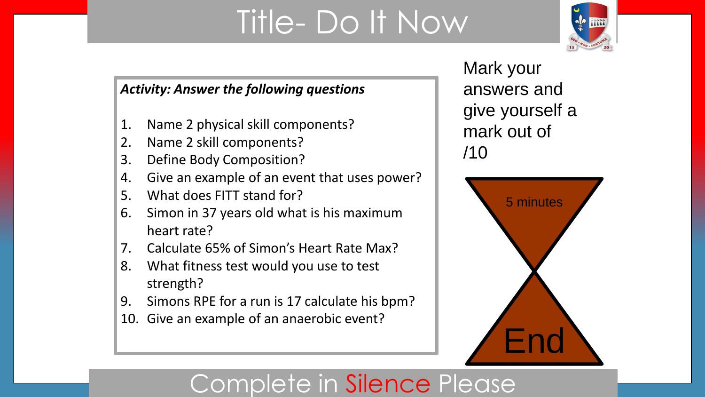# Title- Do It Now



### *Activity: Answer the following questions*

- 1. Name 2 physical skill components?
- 2. Name 2 skill components?
- 3. Define Body Composition?
- 4. Give an example of an event that uses power?
- 5. What does FITT stand for?
- 6. Simon in 37 years old what is his maximum heart rate?
- 7. Calculate 65% of Simon's Heart Rate Max?
- 8. What fitness test would you use to test strength?
- 9. Simons RPE for a run is 17 calculate his bpm?
- 10. Give an example of an anaerobic event?

Mark your answers and give yourself a mark out of /10



## Complete in Silence Please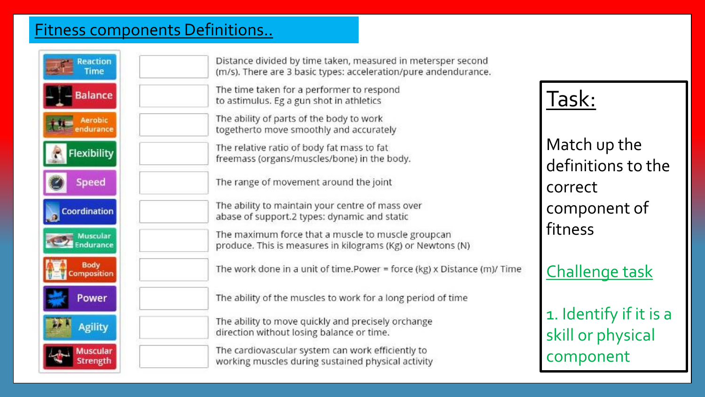### Fitness components Definitions..

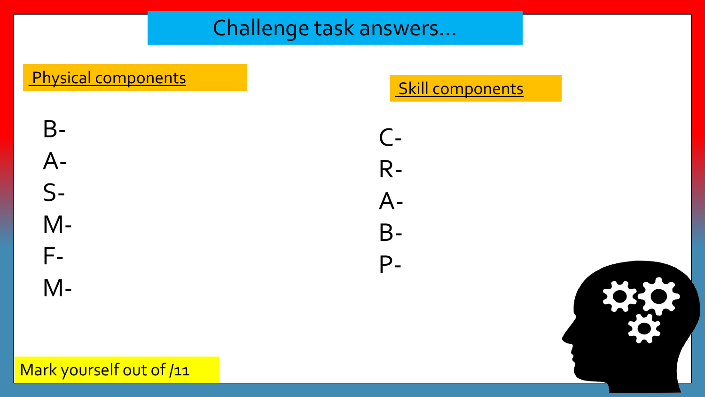### Challenge task answers…

# Physical components and the Skill components

# B-A-S-M-F-

M-





Mark yourself out of /11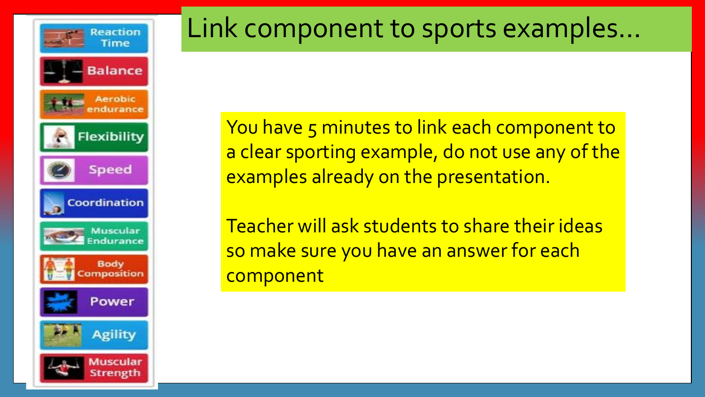

# Link component to sports examples…

You have 5 minutes to link each component to a clear sporting example, do not use any of the examples already on the presentation.

Teacher will ask students to share their ideas so make sure you have an answer for each component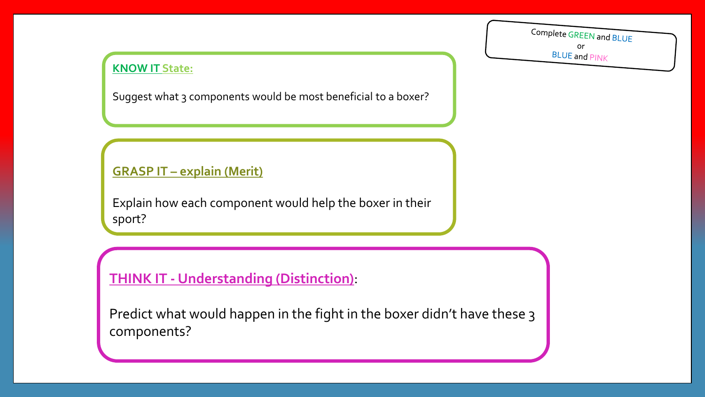#### **KNOW IT State:**

Suggest what 3 components would be most beneficial to a boxer?

### **GRASP IT – explain (Merit)**

Explain how each component would help the boxer in their sport?

**THINK IT - Understanding (Distinction)**:

Predict what would happen in the fight in the boxer didn't have these 3 components?

Complete GREEN and BLUE or **BLUE and PINK**